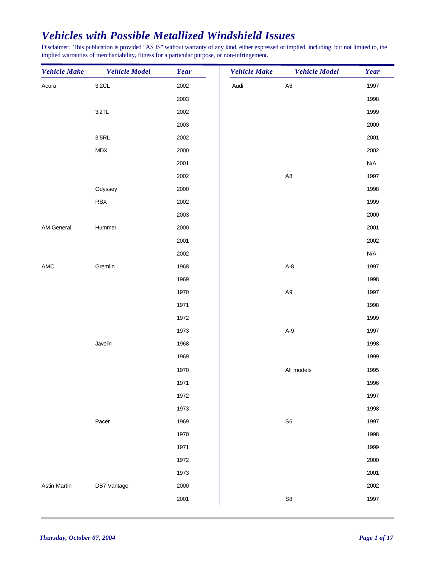Disclaimer: This publication is provided "AS IS" without warranty of any kind, either expressed or implied, including, but not limited to, the implied warranties of merchantability, fitness for a particular purpose, or non-infringement.

| A <sub>6</sub><br>3.2CL<br>2002<br>Audi<br>1997<br>Acura<br>2003<br>1998<br>3.2TL<br>2002<br>1999<br>2003<br>2000<br>2002<br>2001<br>3.5RL<br>MDX<br>2000<br>2002<br>N/A<br>2001<br>2002<br>A <sub>8</sub><br>1997<br>1998<br>Odyssey<br>2000<br>RSX<br>2002<br>1999<br>2000<br>2003<br>2000<br>2001<br>AM General<br>Hummer<br>2002<br>2001<br>2002<br>N/A<br>Gremlin<br>$A-8$<br>AMC<br>1968<br>1997<br>1969<br>1998<br>1970<br>A <sub>9</sub><br>1997<br>1998<br>1971<br>1972<br>1999<br>$A-9$<br>1973<br>1997<br>Javelin<br>1968<br>1998<br>1969<br>1999<br>All models<br>1970<br>1995<br>1971<br>1996<br>1972<br>1997<br>1973<br>1998<br>Pacer<br>${\sf S6}$<br>1969<br>1997<br>1970<br>1998<br>1971<br>1999<br>1972<br>2000<br>2001<br>1973<br>Astin Martin<br>DB7 Vantage<br>2000<br>2002<br>2001<br>${\sf S}8$<br>1997 | <b>Vehicle Make</b> | <b>Vehicle Model</b> | Year | <b>Vehicle Make</b> | <b>Vehicle Model</b> | Year |
|--------------------------------------------------------------------------------------------------------------------------------------------------------------------------------------------------------------------------------------------------------------------------------------------------------------------------------------------------------------------------------------------------------------------------------------------------------------------------------------------------------------------------------------------------------------------------------------------------------------------------------------------------------------------------------------------------------------------------------------------------------------------------------------------------------------------------------|---------------------|----------------------|------|---------------------|----------------------|------|
|                                                                                                                                                                                                                                                                                                                                                                                                                                                                                                                                                                                                                                                                                                                                                                                                                                |                     |                      |      |                     |                      |      |
|                                                                                                                                                                                                                                                                                                                                                                                                                                                                                                                                                                                                                                                                                                                                                                                                                                |                     |                      |      |                     |                      |      |
|                                                                                                                                                                                                                                                                                                                                                                                                                                                                                                                                                                                                                                                                                                                                                                                                                                |                     |                      |      |                     |                      |      |
|                                                                                                                                                                                                                                                                                                                                                                                                                                                                                                                                                                                                                                                                                                                                                                                                                                |                     |                      |      |                     |                      |      |
|                                                                                                                                                                                                                                                                                                                                                                                                                                                                                                                                                                                                                                                                                                                                                                                                                                |                     |                      |      |                     |                      |      |
|                                                                                                                                                                                                                                                                                                                                                                                                                                                                                                                                                                                                                                                                                                                                                                                                                                |                     |                      |      |                     |                      |      |
|                                                                                                                                                                                                                                                                                                                                                                                                                                                                                                                                                                                                                                                                                                                                                                                                                                |                     |                      |      |                     |                      |      |
|                                                                                                                                                                                                                                                                                                                                                                                                                                                                                                                                                                                                                                                                                                                                                                                                                                |                     |                      |      |                     |                      |      |
|                                                                                                                                                                                                                                                                                                                                                                                                                                                                                                                                                                                                                                                                                                                                                                                                                                |                     |                      |      |                     |                      |      |
|                                                                                                                                                                                                                                                                                                                                                                                                                                                                                                                                                                                                                                                                                                                                                                                                                                |                     |                      |      |                     |                      |      |
|                                                                                                                                                                                                                                                                                                                                                                                                                                                                                                                                                                                                                                                                                                                                                                                                                                |                     |                      |      |                     |                      |      |
|                                                                                                                                                                                                                                                                                                                                                                                                                                                                                                                                                                                                                                                                                                                                                                                                                                |                     |                      |      |                     |                      |      |
|                                                                                                                                                                                                                                                                                                                                                                                                                                                                                                                                                                                                                                                                                                                                                                                                                                |                     |                      |      |                     |                      |      |
|                                                                                                                                                                                                                                                                                                                                                                                                                                                                                                                                                                                                                                                                                                                                                                                                                                |                     |                      |      |                     |                      |      |
|                                                                                                                                                                                                                                                                                                                                                                                                                                                                                                                                                                                                                                                                                                                                                                                                                                |                     |                      |      |                     |                      |      |
|                                                                                                                                                                                                                                                                                                                                                                                                                                                                                                                                                                                                                                                                                                                                                                                                                                |                     |                      |      |                     |                      |      |
|                                                                                                                                                                                                                                                                                                                                                                                                                                                                                                                                                                                                                                                                                                                                                                                                                                |                     |                      |      |                     |                      |      |
|                                                                                                                                                                                                                                                                                                                                                                                                                                                                                                                                                                                                                                                                                                                                                                                                                                |                     |                      |      |                     |                      |      |
|                                                                                                                                                                                                                                                                                                                                                                                                                                                                                                                                                                                                                                                                                                                                                                                                                                |                     |                      |      |                     |                      |      |
|                                                                                                                                                                                                                                                                                                                                                                                                                                                                                                                                                                                                                                                                                                                                                                                                                                |                     |                      |      |                     |                      |      |
|                                                                                                                                                                                                                                                                                                                                                                                                                                                                                                                                                                                                                                                                                                                                                                                                                                |                     |                      |      |                     |                      |      |
|                                                                                                                                                                                                                                                                                                                                                                                                                                                                                                                                                                                                                                                                                                                                                                                                                                |                     |                      |      |                     |                      |      |
|                                                                                                                                                                                                                                                                                                                                                                                                                                                                                                                                                                                                                                                                                                                                                                                                                                |                     |                      |      |                     |                      |      |
|                                                                                                                                                                                                                                                                                                                                                                                                                                                                                                                                                                                                                                                                                                                                                                                                                                |                     |                      |      |                     |                      |      |
|                                                                                                                                                                                                                                                                                                                                                                                                                                                                                                                                                                                                                                                                                                                                                                                                                                |                     |                      |      |                     |                      |      |
|                                                                                                                                                                                                                                                                                                                                                                                                                                                                                                                                                                                                                                                                                                                                                                                                                                |                     |                      |      |                     |                      |      |
|                                                                                                                                                                                                                                                                                                                                                                                                                                                                                                                                                                                                                                                                                                                                                                                                                                |                     |                      |      |                     |                      |      |
|                                                                                                                                                                                                                                                                                                                                                                                                                                                                                                                                                                                                                                                                                                                                                                                                                                |                     |                      |      |                     |                      |      |
|                                                                                                                                                                                                                                                                                                                                                                                                                                                                                                                                                                                                                                                                                                                                                                                                                                |                     |                      |      |                     |                      |      |
|                                                                                                                                                                                                                                                                                                                                                                                                                                                                                                                                                                                                                                                                                                                                                                                                                                |                     |                      |      |                     |                      |      |
|                                                                                                                                                                                                                                                                                                                                                                                                                                                                                                                                                                                                                                                                                                                                                                                                                                |                     |                      |      |                     |                      |      |
|                                                                                                                                                                                                                                                                                                                                                                                                                                                                                                                                                                                                                                                                                                                                                                                                                                |                     |                      |      |                     |                      |      |
|                                                                                                                                                                                                                                                                                                                                                                                                                                                                                                                                                                                                                                                                                                                                                                                                                                |                     |                      |      |                     |                      |      |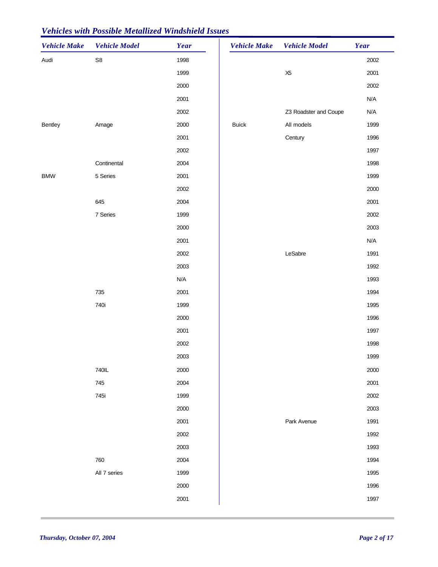| <b>Vehicle Make</b> | <b>Vehicle Model</b> | Year | <b>Vehicle Make</b> | <b>Vehicle Model</b>  | <b>Year</b> |
|---------------------|----------------------|------|---------------------|-----------------------|-------------|
| Audi                | ${\sf S}8$           | 1998 |                     |                       | 2002        |
|                     |                      | 1999 |                     | X <sub>5</sub>        | 2001        |
|                     |                      | 2000 |                     |                       | 2002        |
|                     |                      | 2001 |                     |                       | N/A         |
|                     |                      | 2002 |                     | Z3 Roadster and Coupe | N/A         |
| Bentley             | Amage                | 2000 | <b>Buick</b>        | All models            | 1999        |
|                     |                      | 2001 |                     | Century               | 1996        |
|                     |                      | 2002 |                     |                       | 1997        |
|                     | Continental          | 2004 |                     |                       | 1998        |
| <b>BMW</b>          | 5 Series             | 2001 |                     |                       | 1999        |
|                     |                      | 2002 |                     |                       | 2000        |
|                     | 645                  | 2004 |                     |                       | 2001        |
|                     | 7 Series             | 1999 |                     |                       | 2002        |
|                     |                      | 2000 |                     |                       | 2003        |
|                     |                      | 2001 |                     |                       | N/A         |
|                     |                      | 2002 |                     | LeSabre               | 1991        |
|                     |                      | 2003 |                     |                       | 1992        |
|                     |                      | N/A  |                     |                       | 1993        |
|                     | 735                  | 2001 |                     |                       | 1994        |
|                     | 740i                 | 1999 |                     |                       | 1995        |
|                     |                      | 2000 |                     |                       | 1996        |
|                     |                      | 2001 |                     |                       | 1997        |
|                     |                      | 2002 |                     |                       | 1998        |
|                     |                      | 2003 |                     |                       | 1999        |
|                     | 740IL                | 2000 |                     |                       | 2000        |
|                     | 745                  | 2004 |                     |                       | 2001        |
|                     | 745i                 | 1999 |                     |                       | 2002        |
|                     |                      | 2000 |                     |                       | 2003        |
|                     |                      | 2001 |                     | Park Avenue           | 1991        |
|                     |                      | 2002 |                     |                       | 1992        |
|                     |                      | 2003 |                     |                       | 1993        |
|                     | 760                  | 2004 |                     |                       | 1994        |
|                     |                      |      |                     |                       |             |
|                     | All 7 series         | 1999 |                     |                       | 1995        |
|                     |                      | 2000 |                     |                       | 1996        |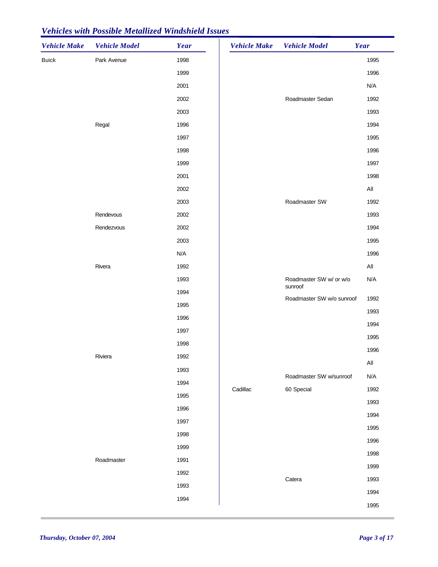| <b>Vehicle Make</b> | <b>Vehicle Model</b> | Year | <b>Vehicle Make</b> | <b>Vehicle Model</b>               | Year           |
|---------------------|----------------------|------|---------------------|------------------------------------|----------------|
| <b>Buick</b>        | Park Avenue          | 1998 |                     |                                    | 1995           |
|                     |                      | 1999 |                     |                                    | 1996           |
|                     |                      | 2001 |                     |                                    | N/A            |
|                     |                      | 2002 |                     | Roadmaster Sedan                   | 1992           |
|                     |                      | 2003 |                     |                                    | 1993           |
|                     | Regal                | 1996 |                     |                                    | 1994           |
|                     |                      | 1997 |                     |                                    | 1995           |
|                     |                      | 1998 |                     |                                    | 1996           |
|                     |                      | 1999 |                     |                                    | 1997           |
|                     |                      | 2001 |                     |                                    | 1998           |
|                     |                      | 2002 |                     |                                    | $\mathsf{All}$ |
|                     |                      | 2003 |                     | Roadmaster SW                      | 1992           |
|                     | Rendevous            | 2002 |                     |                                    | 1993           |
|                     | Rendezvous           | 2002 |                     |                                    | 1994           |
|                     |                      | 2003 |                     |                                    | 1995           |
|                     |                      | N/A  |                     |                                    | 1996           |
|                     | Rivera               | 1992 |                     |                                    | $\mathsf{All}$ |
|                     |                      | 1993 |                     | Roadmaster SW w/ or w/o<br>sunroof | N/A            |
|                     |                      | 1994 |                     | Roadmaster SW w/o sunroof          | 1992           |
|                     |                      | 1995 |                     |                                    | 1993           |
|                     |                      | 1996 |                     |                                    | 1994           |
|                     |                      | 1997 |                     |                                    | 1995           |
|                     |                      | 1998 |                     |                                    | 1996           |
|                     | Riviera              | 1992 |                     |                                    | All            |
|                     |                      | 1993 |                     | Roadmaster SW w/sunroof            | N/A            |
|                     |                      | 1994 | Cadillac            | 60 Special                         | 1992           |
|                     |                      | 1995 |                     |                                    | 1993           |
|                     |                      | 1996 |                     |                                    | 1994           |
|                     |                      | 1997 |                     |                                    | 1995           |
|                     |                      | 1998 |                     |                                    | 1996           |
|                     |                      | 1999 |                     |                                    | 1998           |
|                     | Roadmaster           | 1991 |                     |                                    | 1999           |
|                     |                      | 1992 |                     | Catera                             | 1993           |
|                     |                      | 1993 |                     |                                    | 1994           |
|                     |                      | 1994 |                     |                                    | 1995           |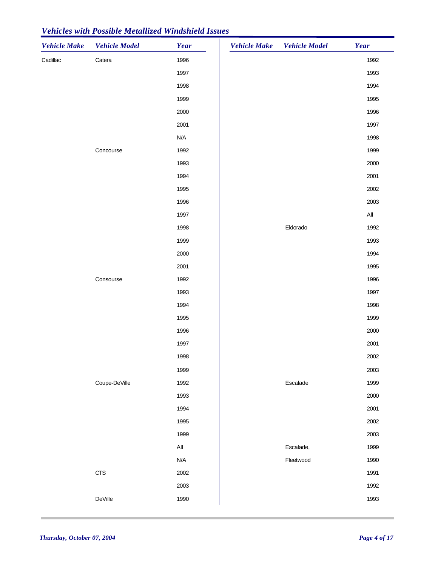| <b>Vehicle Make</b> | <b>Vehicle Model</b> | Year           | Vehicle Make Vehicle Model | Year |
|---------------------|----------------------|----------------|----------------------------|------|
| Cadillac            | Catera               | 1996           |                            | 1992 |
|                     |                      | 1997           |                            | 1993 |
|                     |                      | 1998           |                            | 1994 |
|                     |                      | 1999           |                            | 1995 |
|                     |                      | 2000           |                            | 1996 |
|                     |                      | 2001           |                            | 1997 |
|                     |                      | N/A            |                            | 1998 |
|                     | Concourse            | 1992           |                            | 1999 |
|                     |                      | 1993           |                            | 2000 |
|                     |                      | 1994           |                            | 2001 |
|                     |                      | 1995           |                            | 2002 |
|                     |                      | 1996           |                            | 2003 |
|                     |                      | 1997           |                            | All  |
|                     |                      | 1998           | Eldorado                   | 1992 |
|                     |                      | 1999           |                            | 1993 |
|                     |                      | 2000           |                            | 1994 |
|                     |                      | 2001           |                            | 1995 |
|                     | Consourse            | 1992           |                            | 1996 |
|                     |                      | 1993           |                            | 1997 |
|                     |                      | 1994           |                            | 1998 |
|                     |                      | 1995           |                            | 1999 |
|                     |                      | 1996           |                            | 2000 |
|                     |                      | 1997           |                            | 2001 |
|                     |                      | 1998           |                            | 2002 |
|                     |                      | 1999           |                            | 2003 |
|                     | Coupe-DeVille        | 1992           | Escalade                   | 1999 |
|                     |                      | 1993           |                            | 2000 |
|                     |                      | 1994           |                            | 2001 |
|                     |                      | 1995           |                            | 2002 |
|                     |                      | 1999           |                            | 2003 |
|                     |                      | $\mathsf{All}$ | Escalade,                  | 1999 |
|                     |                      | N/A            | Fleetwood                  | 1990 |
|                     | <b>CTS</b>           | 2002           |                            | 1991 |
|                     |                      | 2003           |                            | 1992 |
|                     | DeVille              | 1990           |                            | 1993 |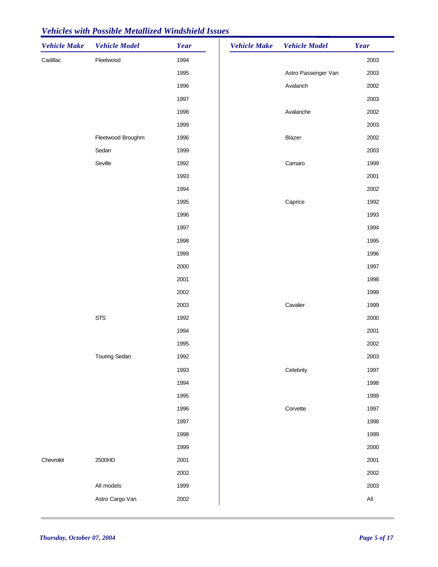| Cadillac<br>Fleetwood<br>1994<br>2003<br>1995<br>Astro Passenger Van<br>2003<br>Avalanch<br>1996<br>2002<br>1997<br>2003<br>1998<br>Avalanche<br>2002<br>2003<br>1999<br>Blazer<br>2002<br>Fleetwood Broughm<br>1996<br>2003<br>Sedan<br>1999<br>Seville<br>Camaro<br>1999<br>1992<br>1993<br>2001<br>1994<br>2002<br>1992<br>1995<br>Caprice<br>1993<br>1996<br>1994<br>1997<br>1998<br>1995<br>1999<br>1996<br>2000<br>1997<br>2001<br>1998<br>1999<br>2002<br>Cavalier<br>1999<br>2003<br><b>STS</b><br>1992<br>2000<br>1994<br>2001<br>1995<br>2002<br><b>Touring Sedan</b><br>1992<br>2003<br>1993<br>Celebrity<br>1997<br>1994<br>1998<br>1999<br>1995<br>Corvette<br>1996<br>1997<br>1998<br>1997<br>1999<br>1998<br>1999<br>2000<br>Chevrolet<br>2500HD<br>2001<br>2001<br>2002<br>2002<br>All models<br>1999<br>2003<br>Astro Cargo Van<br>$\mathsf{All}$<br>2002 | <b>Vehicle Make</b> | <b>Vehicle Model</b> | Year | <b>Vehicle Make</b> | <b>Vehicle Model</b> | Year |
|----------------------------------------------------------------------------------------------------------------------------------------------------------------------------------------------------------------------------------------------------------------------------------------------------------------------------------------------------------------------------------------------------------------------------------------------------------------------------------------------------------------------------------------------------------------------------------------------------------------------------------------------------------------------------------------------------------------------------------------------------------------------------------------------------------------------------------------------------------------------------|---------------------|----------------------|------|---------------------|----------------------|------|
|                                                                                                                                                                                                                                                                                                                                                                                                                                                                                                                                                                                                                                                                                                                                                                                                                                                                            |                     |                      |      |                     |                      |      |
|                                                                                                                                                                                                                                                                                                                                                                                                                                                                                                                                                                                                                                                                                                                                                                                                                                                                            |                     |                      |      |                     |                      |      |
|                                                                                                                                                                                                                                                                                                                                                                                                                                                                                                                                                                                                                                                                                                                                                                                                                                                                            |                     |                      |      |                     |                      |      |
|                                                                                                                                                                                                                                                                                                                                                                                                                                                                                                                                                                                                                                                                                                                                                                                                                                                                            |                     |                      |      |                     |                      |      |
|                                                                                                                                                                                                                                                                                                                                                                                                                                                                                                                                                                                                                                                                                                                                                                                                                                                                            |                     |                      |      |                     |                      |      |
|                                                                                                                                                                                                                                                                                                                                                                                                                                                                                                                                                                                                                                                                                                                                                                                                                                                                            |                     |                      |      |                     |                      |      |
|                                                                                                                                                                                                                                                                                                                                                                                                                                                                                                                                                                                                                                                                                                                                                                                                                                                                            |                     |                      |      |                     |                      |      |
|                                                                                                                                                                                                                                                                                                                                                                                                                                                                                                                                                                                                                                                                                                                                                                                                                                                                            |                     |                      |      |                     |                      |      |
|                                                                                                                                                                                                                                                                                                                                                                                                                                                                                                                                                                                                                                                                                                                                                                                                                                                                            |                     |                      |      |                     |                      |      |
|                                                                                                                                                                                                                                                                                                                                                                                                                                                                                                                                                                                                                                                                                                                                                                                                                                                                            |                     |                      |      |                     |                      |      |
|                                                                                                                                                                                                                                                                                                                                                                                                                                                                                                                                                                                                                                                                                                                                                                                                                                                                            |                     |                      |      |                     |                      |      |
|                                                                                                                                                                                                                                                                                                                                                                                                                                                                                                                                                                                                                                                                                                                                                                                                                                                                            |                     |                      |      |                     |                      |      |
|                                                                                                                                                                                                                                                                                                                                                                                                                                                                                                                                                                                                                                                                                                                                                                                                                                                                            |                     |                      |      |                     |                      |      |
|                                                                                                                                                                                                                                                                                                                                                                                                                                                                                                                                                                                                                                                                                                                                                                                                                                                                            |                     |                      |      |                     |                      |      |
|                                                                                                                                                                                                                                                                                                                                                                                                                                                                                                                                                                                                                                                                                                                                                                                                                                                                            |                     |                      |      |                     |                      |      |
|                                                                                                                                                                                                                                                                                                                                                                                                                                                                                                                                                                                                                                                                                                                                                                                                                                                                            |                     |                      |      |                     |                      |      |
|                                                                                                                                                                                                                                                                                                                                                                                                                                                                                                                                                                                                                                                                                                                                                                                                                                                                            |                     |                      |      |                     |                      |      |
|                                                                                                                                                                                                                                                                                                                                                                                                                                                                                                                                                                                                                                                                                                                                                                                                                                                                            |                     |                      |      |                     |                      |      |
|                                                                                                                                                                                                                                                                                                                                                                                                                                                                                                                                                                                                                                                                                                                                                                                                                                                                            |                     |                      |      |                     |                      |      |
|                                                                                                                                                                                                                                                                                                                                                                                                                                                                                                                                                                                                                                                                                                                                                                                                                                                                            |                     |                      |      |                     |                      |      |
|                                                                                                                                                                                                                                                                                                                                                                                                                                                                                                                                                                                                                                                                                                                                                                                                                                                                            |                     |                      |      |                     |                      |      |
|                                                                                                                                                                                                                                                                                                                                                                                                                                                                                                                                                                                                                                                                                                                                                                                                                                                                            |                     |                      |      |                     |                      |      |
|                                                                                                                                                                                                                                                                                                                                                                                                                                                                                                                                                                                                                                                                                                                                                                                                                                                                            |                     |                      |      |                     |                      |      |
|                                                                                                                                                                                                                                                                                                                                                                                                                                                                                                                                                                                                                                                                                                                                                                                                                                                                            |                     |                      |      |                     |                      |      |
|                                                                                                                                                                                                                                                                                                                                                                                                                                                                                                                                                                                                                                                                                                                                                                                                                                                                            |                     |                      |      |                     |                      |      |
|                                                                                                                                                                                                                                                                                                                                                                                                                                                                                                                                                                                                                                                                                                                                                                                                                                                                            |                     |                      |      |                     |                      |      |
|                                                                                                                                                                                                                                                                                                                                                                                                                                                                                                                                                                                                                                                                                                                                                                                                                                                                            |                     |                      |      |                     |                      |      |
|                                                                                                                                                                                                                                                                                                                                                                                                                                                                                                                                                                                                                                                                                                                                                                                                                                                                            |                     |                      |      |                     |                      |      |
|                                                                                                                                                                                                                                                                                                                                                                                                                                                                                                                                                                                                                                                                                                                                                                                                                                                                            |                     |                      |      |                     |                      |      |
|                                                                                                                                                                                                                                                                                                                                                                                                                                                                                                                                                                                                                                                                                                                                                                                                                                                                            |                     |                      |      |                     |                      |      |
|                                                                                                                                                                                                                                                                                                                                                                                                                                                                                                                                                                                                                                                                                                                                                                                                                                                                            |                     |                      |      |                     |                      |      |
|                                                                                                                                                                                                                                                                                                                                                                                                                                                                                                                                                                                                                                                                                                                                                                                                                                                                            |                     |                      |      |                     |                      |      |
|                                                                                                                                                                                                                                                                                                                                                                                                                                                                                                                                                                                                                                                                                                                                                                                                                                                                            |                     |                      |      |                     |                      |      |
|                                                                                                                                                                                                                                                                                                                                                                                                                                                                                                                                                                                                                                                                                                                                                                                                                                                                            |                     |                      |      |                     |                      |      |
|                                                                                                                                                                                                                                                                                                                                                                                                                                                                                                                                                                                                                                                                                                                                                                                                                                                                            |                     |                      |      |                     |                      |      |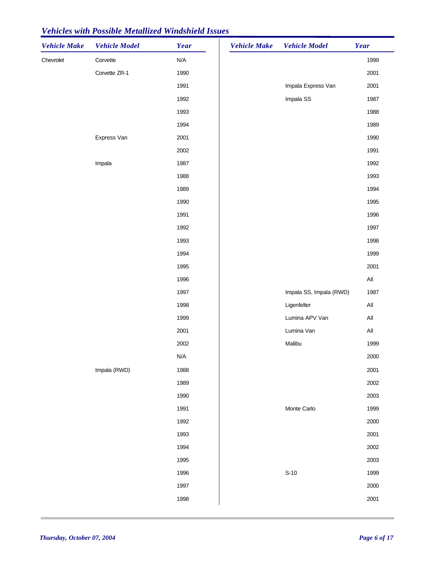| <b>Vehicle Make</b> | <b>Vehicle Model</b> | Year                    | <b>Vehicle Make</b> | <b>Vehicle Model</b>    | Year           |
|---------------------|----------------------|-------------------------|---------------------|-------------------------|----------------|
| Chevrolet           | Corvette             | N/A                     |                     |                         | 1999           |
|                     | Corvette ZR-1        | 1990                    |                     |                         | 2001           |
|                     |                      | 1991                    |                     | Impala Express Van      | 2001           |
|                     |                      | 1992                    |                     | Impala SS               | 1987           |
|                     |                      | 1993                    |                     |                         | 1988           |
|                     |                      | 1994                    |                     |                         | 1989           |
|                     | Express Van          | 2001                    |                     |                         | 1990           |
|                     |                      | 2002                    |                     |                         | 1991           |
|                     | Impala               | 1987                    |                     |                         | 1992           |
|                     |                      | 1988                    |                     |                         | 1993           |
|                     |                      | 1989                    |                     |                         | 1994           |
|                     |                      | 1990                    |                     |                         | 1995           |
|                     |                      | 1991                    |                     |                         | 1996           |
|                     |                      | 1992                    |                     |                         | 1997           |
|                     |                      | 1993                    |                     |                         | 1998           |
|                     |                      | 1994                    |                     |                         | 1999           |
|                     |                      | 1995                    |                     |                         | 2001           |
|                     |                      | 1996                    |                     |                         | $\mathsf{All}$ |
|                     |                      | 1997                    |                     | Impala SS, Impala (RWD) | 1987           |
|                     |                      | 1998                    |                     | Ligenfelter             | $\mathsf{All}$ |
|                     |                      | 1999                    |                     | Lumina APV Van          | $\mathsf{All}$ |
|                     |                      | 2001                    |                     | Lumina Van              | $\mathsf{All}$ |
|                     |                      | 2002                    |                     | Malibu                  | 1999           |
|                     |                      | $\mathsf{N}/\mathsf{A}$ |                     |                         | 2000           |
|                     | Impala (RWD)         | 1988                    |                     |                         | 2001           |
|                     |                      | 1989                    |                     |                         | 2002           |
|                     |                      | 1990                    |                     |                         | 2003           |
|                     |                      | 1991                    |                     | Monte Carlo             | 1999           |
|                     |                      | 1992                    |                     |                         | 2000           |
|                     |                      | 1993                    |                     |                         | 2001           |
|                     |                      | 1994                    |                     |                         | 2002           |
|                     |                      | 1995                    |                     |                         | 2003           |
|                     |                      | 1996                    |                     | $S-10$                  | 1999           |
|                     |                      | 1997                    |                     |                         | 2000           |
|                     |                      | 1998                    |                     |                         | 2001           |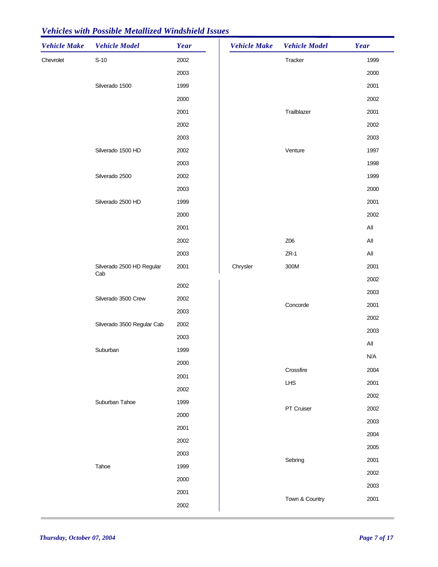| <b>Vehicle Make</b> | <b>Vehicle Model</b>             | Year | <b>Vehicle Make</b> | <b>Vehicle Model</b> | Year                  |
|---------------------|----------------------------------|------|---------------------|----------------------|-----------------------|
| Chevrolet           | $S-10$                           | 2002 |                     | Tracker              | 1999                  |
|                     |                                  | 2003 |                     |                      | 2000                  |
|                     | Silverado 1500                   | 1999 |                     |                      | 2001                  |
|                     |                                  | 2000 |                     |                      | 2002                  |
|                     |                                  | 2001 |                     | Trailblazer          | 2001                  |
|                     |                                  | 2002 |                     |                      | 2002                  |
|                     |                                  | 2003 |                     |                      | 2003                  |
|                     | Silverado 1500 HD                | 2002 |                     | Venture              | 1997                  |
|                     |                                  | 2003 |                     |                      | 1998                  |
|                     | Silverado 2500                   | 2002 |                     |                      | 1999                  |
|                     |                                  | 2003 |                     |                      | 2000                  |
|                     | Silverado 2500 HD                | 1999 |                     |                      | 2001                  |
|                     |                                  | 2000 |                     |                      | 2002                  |
|                     |                                  | 2001 |                     |                      | $AII$                 |
|                     |                                  | 2002 |                     | Z06                  | AII                   |
|                     |                                  | 2003 |                     | $ZR-1$               | All                   |
|                     | Silverado 2500 HD Regular<br>Cab | 2001 | Chrysler            | 300M                 | 2001                  |
|                     |                                  | 2002 |                     |                      | 2002                  |
|                     | Silverado 3500 Crew              | 2002 |                     | Concorde             | 2003                  |
|                     |                                  | 2003 |                     |                      | 2001                  |
|                     | Silverado 3500 Regular Cab       | 2002 |                     |                      | 2002                  |
|                     |                                  | 2003 |                     |                      | 2003                  |
|                     | Suburban                         | 1999 |                     |                      | $\mathsf{All}\xspace$ |
|                     |                                  | 2000 |                     |                      | N/A                   |
|                     |                                  | 2001 |                     | Crossfire            | 2004                  |
|                     |                                  | 2002 |                     | LHS                  | 2001                  |
|                     | Suburban Tahoe                   | 1999 |                     |                      | 2002                  |
|                     |                                  | 2000 |                     | PT Cruiser           | 2002                  |
|                     |                                  | 2001 |                     |                      | 2003                  |
|                     |                                  | 2002 |                     |                      | 2004                  |
|                     |                                  | 2003 |                     |                      | 2005                  |
|                     | Tahoe                            | 1999 |                     | Sebring              | 2001                  |
|                     |                                  | 2000 |                     |                      | 2002                  |
|                     |                                  | 2001 |                     |                      | 2003                  |
|                     |                                  | 2002 |                     | Town & Country       | 2001                  |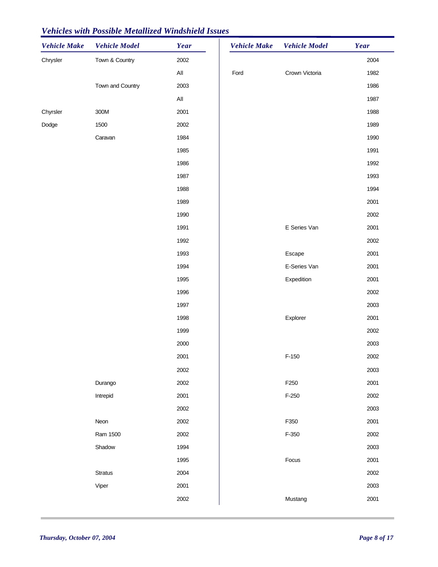| <b>Vehicle Make</b> | <b>Vehicle Model</b> | Year           | <b>Vehicle Make</b> | <b>Vehicle Model</b> | Year |
|---------------------|----------------------|----------------|---------------------|----------------------|------|
| Chrysler            | Town & Country       | 2002           |                     |                      | 2004 |
|                     |                      | $\mathsf{All}$ | Ford                | Crown Victoria       | 1982 |
|                     | Town and Country     | 2003           |                     |                      | 1986 |
|                     |                      | $\mathsf{All}$ |                     |                      | 1987 |
| Chyrsler            | 300M                 | 2001           |                     |                      | 1988 |
| Dodge               | 1500                 | 2002           |                     |                      | 1989 |
|                     | Caravan              | 1984           |                     |                      | 1990 |
|                     |                      | 1985           |                     |                      | 1991 |
|                     |                      | 1986           |                     |                      | 1992 |
|                     |                      | 1987           |                     |                      | 1993 |
|                     |                      | 1988           |                     |                      | 1994 |
|                     |                      | 1989           |                     |                      | 2001 |
|                     |                      | 1990           |                     |                      | 2002 |
|                     |                      | 1991           |                     | E Series Van         | 2001 |
|                     |                      | 1992           |                     |                      | 2002 |
|                     |                      | 1993           |                     | Escape               | 2001 |
|                     |                      | 1994           |                     | E-Series Van         | 2001 |
|                     |                      | 1995           |                     | Expedition           | 2001 |
|                     |                      | 1996           |                     |                      | 2002 |
|                     |                      | 1997           |                     |                      | 2003 |
|                     |                      | 1998           |                     | Explorer             | 2001 |
|                     |                      | 1999           |                     |                      | 2002 |
|                     |                      | 2000           |                     |                      | 2003 |
|                     |                      | 2001           |                     | $F-150$              | 2002 |
|                     |                      | 2002           |                     |                      | 2003 |
|                     | Durango              | 2002           |                     | F250                 | 2001 |
|                     | Intrepid             | 2001           |                     | $F-250$              | 2002 |
|                     |                      | 2002           |                     |                      | 2003 |
|                     | Neon                 | 2002           |                     | F350                 | 2001 |
|                     | Ram 1500             | 2002           |                     | $F-350$              | 2002 |
|                     | Shadow               | 1994           |                     |                      | 2003 |
|                     |                      | 1995           |                     | Focus                | 2001 |
|                     | Stratus              | 2004           |                     |                      | 2002 |
|                     | Viper                | 2001           |                     |                      | 2003 |
|                     |                      | 2002           |                     | Mustang              | 2001 |
|                     |                      |                |                     |                      |      |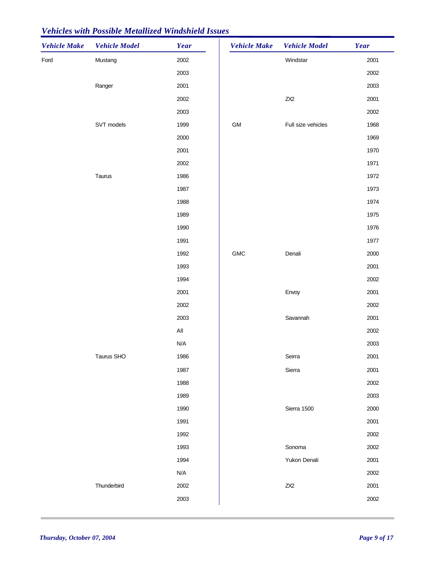| <b>Vehicle Make</b> | <b>Vehicle Model</b> | Year                    | <b>Vehicle Make</b> | <b>Vehicle Model</b> | Year |
|---------------------|----------------------|-------------------------|---------------------|----------------------|------|
| Ford                | Mustang              | 2002                    |                     | Windstar             | 2001 |
|                     |                      | 2003                    |                     |                      | 2002 |
|                     | Ranger               | 2001                    |                     |                      | 2003 |
|                     |                      | 2002                    |                     | $Z\!X\!2$            | 2001 |
|                     |                      | 2003                    |                     |                      | 2002 |
|                     | SVT models           | 1999                    | GM                  | Full size vehicles   | 1968 |
|                     |                      | 2000                    |                     |                      | 1969 |
|                     |                      | 2001                    |                     |                      | 1970 |
|                     |                      | 2002                    |                     |                      | 1971 |
|                     | Taurus               | 1986                    |                     |                      | 1972 |
|                     |                      | 1987                    |                     |                      | 1973 |
|                     |                      | 1988                    |                     |                      | 1974 |
|                     |                      | 1989                    |                     |                      | 1975 |
|                     |                      | 1990                    |                     |                      | 1976 |
|                     |                      | 1991                    |                     |                      | 1977 |
|                     |                      | 1992                    | <b>GMC</b>          | Denali               | 2000 |
|                     |                      | 1993                    |                     |                      | 2001 |
|                     |                      | 1994                    |                     |                      | 2002 |
|                     |                      | 2001                    |                     | Envoy                | 2001 |
|                     |                      | 2002                    |                     |                      | 2002 |
|                     |                      | 2003                    |                     | Savannah             | 2001 |
|                     |                      | $\mathsf{All}$          |                     |                      | 2002 |
|                     |                      | $\mathsf{N}/\mathsf{A}$ |                     |                      | 2003 |
|                     | Taurus SHO           | 1986                    |                     | Seirra               | 2001 |
|                     |                      | 1987                    |                     | Sierra               | 2001 |
|                     |                      | 1988                    |                     |                      | 2002 |
|                     |                      | 1989                    |                     |                      | 2003 |
|                     |                      | 1990                    |                     | Sierra 1500          | 2000 |
|                     |                      | 1991                    |                     |                      | 2001 |
|                     |                      | 1992                    |                     |                      | 2002 |
|                     |                      | 1993                    |                     | Sonoma               | 2002 |
|                     |                      | 1994                    |                     | Yukon Denali         | 2001 |
|                     |                      | N/A                     |                     |                      | 2002 |
|                     | Thunderbird          | 2002                    |                     | $Z\!X\!2$            | 2001 |
|                     |                      | 2003                    |                     |                      | 2002 |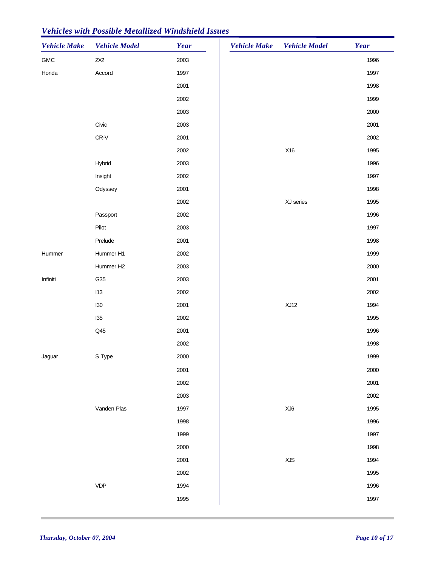| <b>Vehicle Make</b> | <b>Vehicle Model</b> | Year | <b>Vehicle Make</b> | <b>Vehicle Model</b> | Year |
|---------------------|----------------------|------|---------------------|----------------------|------|
| ${\sf GMC}$         | $Z\!X\!2$            | 2003 |                     |                      | 1996 |
| Honda               | Accord               | 1997 |                     |                      | 1997 |
|                     |                      | 2001 |                     |                      | 1998 |
|                     |                      | 2002 |                     |                      | 1999 |
|                     |                      | 2003 |                     |                      | 2000 |
|                     | Civic                | 2003 |                     |                      | 2001 |
|                     | CR-V                 | 2001 |                     |                      | 2002 |
|                     |                      | 2002 |                     | X16                  | 1995 |
|                     | Hybrid               | 2003 |                     |                      | 1996 |
|                     | Insight              | 2002 |                     |                      | 1997 |
|                     | Odyssey              | 2001 |                     |                      | 1998 |
|                     |                      | 2002 |                     | XJ series            | 1995 |
|                     | Passport             | 2002 |                     |                      | 1996 |
|                     | Pilot                | 2003 |                     |                      | 1997 |
|                     | Prelude              | 2001 |                     |                      | 1998 |
| Hummer              | Hummer H1            | 2002 |                     |                      | 1999 |
|                     | Hummer H2            | 2003 |                     |                      | 2000 |
| Infiniti            | G35                  | 2003 |                     |                      | 2001 |
|                     | 113                  | 2002 |                     |                      | 2002 |
|                     | 130                  | 2001 |                     | XJ12                 | 1994 |
|                     | 135                  | 2002 |                     |                      | 1995 |
|                     | Q45                  | 2001 |                     |                      | 1996 |
|                     |                      | 2002 |                     |                      | 1998 |
| Jaguar              | S Type               | 2000 |                     |                      | 1999 |
|                     |                      | 2001 |                     |                      | 2000 |
|                     |                      | 2002 |                     |                      | 2001 |
|                     |                      | 2003 |                     |                      | 2002 |
|                     | Vanden Plas          | 1997 |                     | XJ6                  | 1995 |
|                     |                      | 1998 |                     |                      | 1996 |
|                     |                      | 1999 |                     |                      | 1997 |
|                     |                      | 2000 |                     |                      | 1998 |
|                     |                      | 2001 |                     | <b>XJS</b>           | 1994 |
|                     |                      | 2002 |                     |                      | 1995 |
|                     | <b>VDP</b>           | 1994 |                     |                      | 1996 |
|                     |                      | 1995 |                     |                      | 1997 |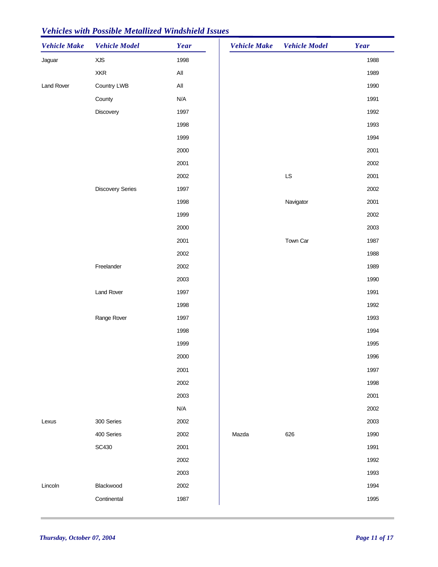| <b>Vehicle Make</b> | <b>Vehicle Model</b>    | Year           | <b>Vehicle Make</b> | <b>Vehicle Model</b> | Year |
|---------------------|-------------------------|----------------|---------------------|----------------------|------|
| Jaguar              | XJS                     | 1998           |                     |                      | 1988 |
|                     | <b>XKR</b>              | $\mathsf{All}$ |                     |                      | 1989 |
| Land Rover          | Country LWB             | $\mathsf{All}$ |                     |                      | 1990 |
|                     | County                  | N/A            |                     |                      | 1991 |
|                     | Discovery               | 1997           |                     |                      | 1992 |
|                     |                         | 1998           |                     |                      | 1993 |
|                     |                         | 1999           |                     |                      | 1994 |
|                     |                         | 2000           |                     |                      | 2001 |
|                     |                         | 2001           |                     |                      | 2002 |
|                     |                         | 2002           |                     | LS                   | 2001 |
|                     | <b>Discovery Series</b> | 1997           |                     |                      | 2002 |
|                     |                         | 1998           |                     | Navigator            | 2001 |
|                     |                         | 1999           |                     |                      | 2002 |
|                     |                         | 2000           |                     |                      | 2003 |
|                     |                         | 2001           |                     | Town Car             | 1987 |
|                     |                         | 2002           |                     |                      | 1988 |
|                     | Freelander              | 2002           |                     |                      | 1989 |
|                     |                         | 2003           |                     |                      | 1990 |
|                     | <b>Land Rover</b>       | 1997           |                     |                      | 1991 |
|                     |                         | 1998           |                     |                      | 1992 |
|                     | Range Rover             | 1997           |                     |                      | 1993 |
|                     |                         | 1998           |                     |                      | 1994 |
|                     |                         | 1999           |                     |                      | 1995 |
|                     |                         | 2000           |                     |                      | 1996 |
|                     |                         | 2001           |                     |                      | 1997 |
|                     |                         | 2002           |                     |                      | 1998 |
|                     |                         | 2003           |                     |                      | 2001 |
|                     |                         | N/A            |                     |                      | 2002 |
| Lexus               | 300 Series              | 2002           |                     |                      | 2003 |
|                     | 400 Series              | 2002           | Mazda               | 626                  | 1990 |
|                     | <b>SC430</b>            | 2001           |                     |                      | 1991 |
|                     |                         | 2002           |                     |                      | 1992 |
|                     |                         | 2003           |                     |                      | 1993 |
| Lincoln             | Blackwood               | 2002           |                     |                      | 1994 |
|                     | Continental             | 1987           |                     |                      | 1995 |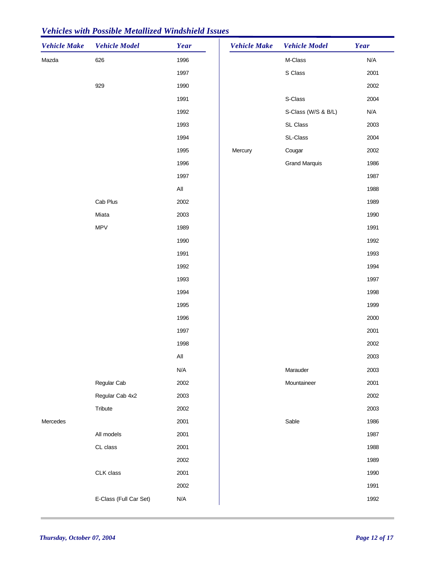| <b>Vehicle Make</b> | <b>Vehicle Model</b>   | Year           | <b>Vehicle Make</b> | <b>Vehicle Model</b> | Year |
|---------------------|------------------------|----------------|---------------------|----------------------|------|
| Mazda               | 626                    | 1996           |                     | M-Class              | N/A  |
|                     |                        | 1997           |                     | S Class              | 2001 |
|                     | 929                    | 1990           |                     |                      | 2002 |
|                     |                        | 1991           |                     | S-Class              | 2004 |
|                     |                        | 1992           |                     | S-Class (W/S & B/L)  | N/A  |
|                     |                        | 1993           |                     | SL Class             | 2003 |
|                     |                        | 1994           |                     | SL-Class             | 2004 |
|                     |                        | 1995           | Mercury             | Cougar               | 2002 |
|                     |                        | 1996           |                     | <b>Grand Marquis</b> | 1986 |
|                     |                        | 1997           |                     |                      | 1987 |
|                     |                        | $\mathsf{All}$ |                     |                      | 1988 |
|                     | Cab Plus               | 2002           |                     |                      | 1989 |
|                     | Miata                  | 2003           |                     |                      | 1990 |
|                     | <b>MPV</b>             | 1989           |                     |                      | 1991 |
|                     |                        | 1990           |                     |                      | 1992 |
|                     |                        | 1991           |                     |                      | 1993 |
|                     |                        | 1992           |                     |                      | 1994 |
|                     |                        | 1993           |                     |                      | 1997 |
|                     |                        | 1994           |                     |                      | 1998 |
|                     |                        | 1995           |                     |                      | 1999 |
|                     |                        | 1996           |                     |                      | 2000 |
|                     |                        | 1997           |                     |                      | 2001 |
|                     |                        | 1998           |                     |                      | 2002 |
|                     |                        | $\mathsf{All}$ |                     |                      | 2003 |
|                     |                        | N/A            |                     | Marauder             | 2003 |
|                     | Regular Cab            | 2002           |                     | Mountaineer          | 2001 |
|                     | Regular Cab 4x2        | 2003           |                     |                      | 2002 |
|                     | Tribute                | 2002           |                     |                      | 2003 |
| Mercedes            |                        | 2001           |                     | Sable                | 1986 |
|                     | All models             | 2001           |                     |                      | 1987 |
|                     | CL class               | 2001           |                     |                      | 1988 |
|                     |                        | 2002           |                     |                      | 1989 |
|                     | CLK class              | 2001           |                     |                      | 1990 |
|                     |                        | 2002           |                     |                      | 1991 |
|                     | E-Class (Full Car Set) | N/A            |                     |                      | 1992 |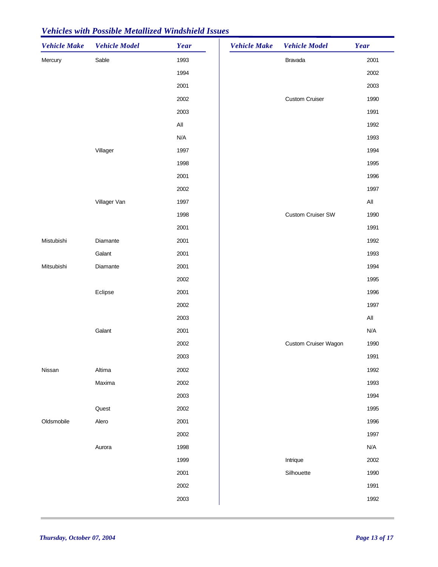| <b>Vehicle Make</b> | <b>Vehicle Model</b> | Year | <b>Vehicle Make</b> | <b>Vehicle Model</b>     | Year           |
|---------------------|----------------------|------|---------------------|--------------------------|----------------|
| Mercury             | Sable                | 1993 |                     | Bravada                  | 2001           |
|                     |                      | 1994 |                     |                          | 2002           |
|                     |                      | 2001 |                     |                          | 2003           |
|                     |                      | 2002 |                     | <b>Custom Cruiser</b>    | 1990           |
|                     |                      | 2003 |                     |                          | 1991           |
|                     |                      | All  |                     |                          | 1992           |
|                     |                      | N/A  |                     |                          | 1993           |
|                     | Villager             | 1997 |                     |                          | 1994           |
|                     |                      | 1998 |                     |                          | 1995           |
|                     |                      | 2001 |                     |                          | 1996           |
|                     |                      | 2002 |                     |                          | 1997           |
|                     | Villager Van         | 1997 |                     |                          | $\mathsf{All}$ |
|                     |                      | 1998 |                     | <b>Custom Cruiser SW</b> | 1990           |
|                     |                      | 2001 |                     |                          | 1991           |
| Mistubishi          | Diamante             | 2001 |                     |                          | 1992           |
|                     | Galant               | 2001 |                     |                          | 1993           |
| Mitsubishi          | Diamante             | 2001 |                     |                          | 1994           |
|                     |                      | 2002 |                     |                          | 1995           |
|                     | Eclipse              | 2001 |                     |                          | 1996           |
|                     |                      | 2002 |                     |                          | 1997           |
|                     |                      | 2003 |                     |                          | $\mathsf{All}$ |
|                     | Galant               | 2001 |                     |                          | N/A            |
|                     |                      | 2002 |                     | Custom Cruiser Wagon     | 1990           |
|                     |                      | 2003 |                     |                          | 1991           |
| Nissan              | Altima               | 2002 |                     |                          | 1992           |
|                     | Maxima               | 2002 |                     |                          | 1993           |
|                     |                      | 2003 |                     |                          | 1994           |
|                     | Quest                | 2002 |                     |                          | 1995           |
| Oldsmobile          | Alero                | 2001 |                     |                          | 1996           |
|                     |                      | 2002 |                     |                          | 1997           |
|                     | Aurora               | 1998 |                     |                          | N/A            |
|                     |                      | 1999 |                     | Intrique                 | 2002           |
|                     |                      | 2001 |                     | Silhouette               | 1990           |
|                     |                      | 2002 |                     |                          | 1991           |
|                     |                      | 2003 |                     |                          | 1992           |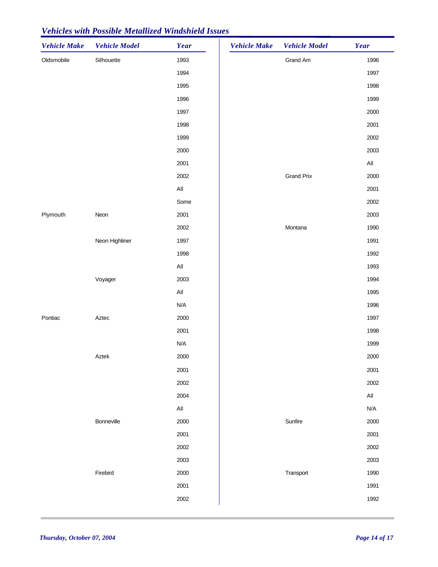| <b>Vehicle Make</b> | <b>Vehicle Model</b> | Year           | <b>Vehicle Make</b> | <b>Vehicle Model</b> | Year                    |
|---------------------|----------------------|----------------|---------------------|----------------------|-------------------------|
| Oldsmobile          | Silhouette           | 1993           |                     | Grand Am             | 1996                    |
|                     |                      | 1994           |                     |                      | 1997                    |
|                     |                      | 1995           |                     |                      | 1998                    |
|                     |                      | 1996           |                     |                      | 1999                    |
|                     |                      | 1997           |                     |                      | 2000                    |
|                     |                      | 1998           |                     |                      | 2001                    |
|                     |                      | 1999           |                     |                      | 2002                    |
|                     |                      | 2000           |                     |                      | 2003                    |
|                     |                      | 2001           |                     |                      | $\mathsf{All}\xspace$   |
|                     |                      | 2002           |                     | <b>Grand Prix</b>    | 2000                    |
|                     |                      | All            |                     |                      | 2001                    |
|                     |                      | Some           |                     |                      | 2002                    |
| Plymouth            | Neon                 | 2001           |                     |                      | 2003                    |
|                     |                      | 2002           |                     | Montana              | 1990                    |
|                     | Neon Highliner       | 1997           |                     |                      | 1991                    |
|                     |                      | 1998           |                     |                      | 1992                    |
|                     |                      | $\mathsf{All}$ |                     |                      | 1993                    |
|                     | Voyager              | 2003           |                     |                      | 1994                    |
|                     |                      | All            |                     |                      | 1995                    |
|                     |                      | N/A            |                     |                      | 1996                    |
| Pontiac             | Aztec                | 2000           |                     |                      | 1997                    |
|                     |                      | 2001           |                     |                      | 1998                    |
|                     |                      | N/A            |                     |                      | 1999                    |
|                     | Aztek                | 2000           |                     |                      | 2000                    |
|                     |                      | 2001           |                     |                      | 2001                    |
|                     |                      | 2002           |                     |                      | 2002                    |
|                     |                      | 2004           |                     |                      | $\mathsf{All}$          |
|                     |                      | $\mathsf{All}$ |                     |                      | $\mathsf{N}/\mathsf{A}$ |
|                     | Bonneville           | 2000           |                     | Sunfire              | 2000                    |
|                     |                      | 2001           |                     |                      | 2001                    |
|                     |                      | 2002           |                     |                      | 2002                    |
|                     |                      | 2003           |                     |                      | 2003                    |
|                     | Firebird             | 2000           |                     | Transport            | 1990                    |
|                     |                      | 2001           |                     |                      | 1991                    |
|                     |                      | 2002           |                     |                      | 1992                    |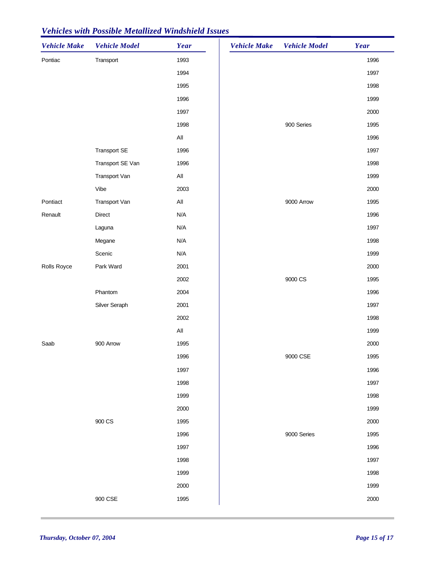| <b>Vehicle Make</b> | <b>Vehicle Model</b> | Year           | <b>Vehicle Make</b> | <b>Vehicle Model</b> | Year |
|---------------------|----------------------|----------------|---------------------|----------------------|------|
| Pontiac             | Transport            | 1993           |                     |                      | 1996 |
|                     |                      | 1994           |                     |                      | 1997 |
|                     |                      | 1995           |                     |                      | 1998 |
|                     |                      | 1996           |                     |                      | 1999 |
|                     |                      | 1997           |                     |                      | 2000 |
|                     |                      | 1998           |                     | 900 Series           | 1995 |
|                     |                      | $\mathsf{All}$ |                     |                      | 1996 |
|                     | <b>Transport SE</b>  | 1996           |                     |                      | 1997 |
|                     | Transport SE Van     | 1996           |                     |                      | 1998 |
|                     | Transport Van        | $\mathsf{All}$ |                     |                      | 1999 |
|                     | Vibe                 | 2003           |                     |                      | 2000 |
| Pontiact            | Transport Van        | $\mathsf{All}$ |                     | 9000 Arrow           | 1995 |
| Renault             | Direct               | N/A            |                     |                      | 1996 |
|                     | Laguna               | N/A            |                     |                      | 1997 |
|                     | Megane               | N/A            |                     |                      | 1998 |
|                     | Scenic               | N/A            |                     |                      | 1999 |
| Rolls Royce         | Park Ward            | 2001           |                     |                      | 2000 |
|                     |                      | 2002           |                     | 9000 CS              | 1995 |
|                     | Phantom              | 2004           |                     |                      | 1996 |
|                     | Silver Seraph        | 2001           |                     |                      | 1997 |
|                     |                      | 2002           |                     |                      | 1998 |
|                     |                      | All            |                     |                      | 1999 |
| Saab                | 900 Arrow            | 1995           |                     |                      | 2000 |
|                     |                      | 1996           |                     | 9000 CSE             | 1995 |
|                     |                      | 1997           |                     |                      | 1996 |
|                     |                      | 1998           |                     |                      | 1997 |
|                     |                      | 1999           |                     |                      | 1998 |
|                     |                      | 2000           |                     |                      | 1999 |
|                     | 900 CS               | 1995           |                     |                      | 2000 |
|                     |                      | 1996           |                     | 9000 Series          | 1995 |
|                     |                      | 1997           |                     |                      | 1996 |
|                     |                      | 1998           |                     |                      | 1997 |
|                     |                      | 1999           |                     |                      | 1998 |
|                     |                      | 2000           |                     |                      | 1999 |
|                     | 900 CSE              | 1995           |                     |                      | 2000 |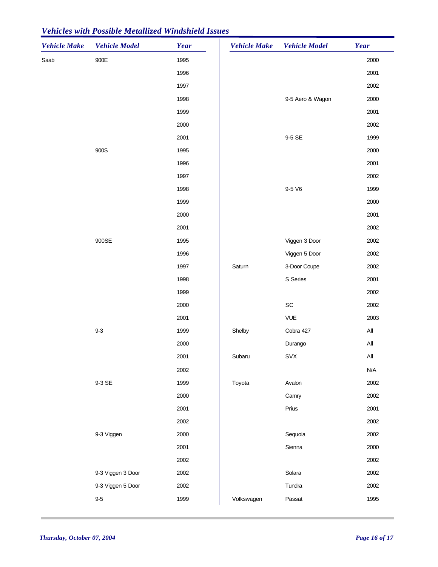| <b>Vehicle Make</b> | <b>Vehicle Model</b> | Year | <b>Vehicle Make</b> | <b>Vehicle Model</b>         | Year           |
|---------------------|----------------------|------|---------------------|------------------------------|----------------|
| Saab                | $900E$               | 1995 |                     |                              | 2000           |
|                     |                      | 1996 |                     |                              | 2001           |
|                     |                      | 1997 |                     |                              | 2002           |
|                     |                      | 1998 |                     | 9-5 Aero & Wagon             | 2000           |
|                     |                      | 1999 |                     |                              | 2001           |
|                     |                      | 2000 |                     |                              | 2002           |
|                     |                      | 2001 |                     | 9-5 SE                       | 1999           |
|                     | 900S                 | 1995 |                     |                              | 2000           |
|                     |                      | 1996 |                     |                              | 2001           |
|                     |                      | 1997 |                     |                              | 2002           |
|                     |                      | 1998 |                     | 9-5 V6                       | 1999           |
|                     |                      | 1999 |                     |                              | 2000           |
|                     |                      | 2000 |                     |                              | 2001           |
|                     |                      | 2001 |                     |                              | 2002           |
|                     | 900SE                | 1995 |                     | Viggen 3 Door                | 2002           |
|                     |                      | 1996 |                     | Viggen 5 Door                | 2002           |
|                     |                      | 1997 | Saturn              | 3-Door Coupe                 | 2002           |
|                     |                      | 1998 |                     | S Series                     | 2001           |
|                     |                      | 1999 |                     |                              | 2002           |
|                     |                      | 2000 |                     | $\operatorname{\textsf{SC}}$ | 2002           |
|                     |                      | 2001 |                     | <b>VUE</b>                   | 2003           |
|                     | $9-3$                | 1999 | Shelby              | Cobra 427                    | $\mathsf{All}$ |
|                     |                      | 2000 |                     | Durango                      | $\mathsf{All}$ |
|                     |                      | 2001 | Subaru              | SVX                          | $\mathsf{All}$ |
|                     |                      | 2002 |                     |                              | N/A            |
|                     | 9-3 SE               | 1999 | Toyota              | Avalon                       | 2002           |
|                     |                      | 2000 |                     | Camry                        | 2002           |
|                     |                      | 2001 |                     | Prius                        | 2001           |
|                     |                      | 2002 |                     |                              | 2002           |
|                     | 9-3 Viggen           | 2000 |                     | Sequoia                      | 2002           |
|                     |                      | 2001 |                     | Sienna                       | 2000           |
|                     |                      | 2002 |                     |                              | 2002           |
|                     | 9-3 Viggen 3 Door    | 2002 |                     | Solara                       | 2002           |
|                     | 9-3 Viggen 5 Door    | 2002 |                     | Tundra                       | 2002           |
|                     | $9-5$                | 1999 | Volkswagen          | Passat                       | 1995           |